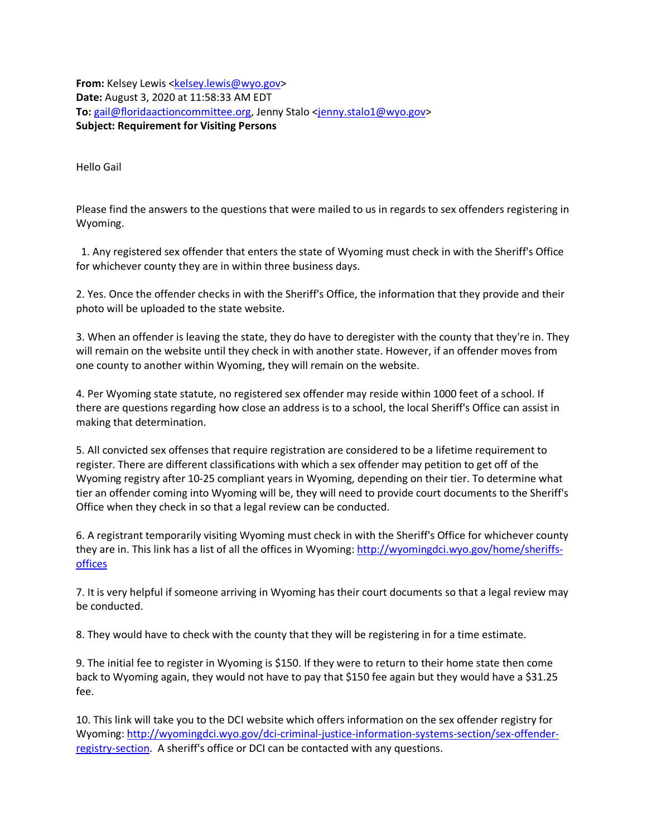**From:** Kelsey Lewis <kelsey.lewis@wyo.gov> **Date:** August 3, 2020 at 11:58:33 AM EDT **To:** gail@floridaactioncommittee.org, Jenny Stalo <jenny.stalo1@wyo.gov> **Subject: Requirement for Visiting Persons**

Hello Gail

Please find the answers to the questions that were mailed to us in regards to sex offenders registering in Wyoming.

 1. Any registered sex offender that enters the state of Wyoming must check in with the Sheriff's Office for whichever county they are in within three business days.

2. Yes. Once the offender checks in with the Sheriff's Office, the information that they provide and their photo will be uploaded to the state website.

3. When an offender is leaving the state, they do have to deregister with the county that they're in. They will remain on the website until they check in with another state. However, if an offender moves from one county to another within Wyoming, they will remain on the website.

4. Per Wyoming state statute, no registered sex offender may reside within 1000 feet of a school. If there are questions regarding how close an address is to a school, the local Sheriff's Office can assist in making that determination.

5. All convicted sex offenses that require registration are considered to be a lifetime requirement to register. There are different classifications with which a sex offender may petition to get off of the Wyoming registry after 10-25 compliant years in Wyoming, depending on their tier. To determine what tier an offender coming into Wyoming will be, they will need to provide court documents to the Sheriff's Office when they check in so that a legal review can be conducted.

6. A registrant temporarily visiting Wyoming must check in with the Sheriff's Office for whichever county they are in. This link has a list of all the offices in Wyoming: http://wyomingdci.wyo.gov/home/sheriffsoffices

7. It is very helpful if someone arriving in Wyoming has their court documents so that a legal review may be conducted.

8. They would have to check with the county that they will be registering in for a time estimate.

9. The initial fee to register in Wyoming is \$150. If they were to return to their home state then come back to Wyoming again, they would not have to pay that \$150 fee again but they would have a \$31.25 fee.

10. This link will take you to the DCI website which offers information on the sex offender registry for Wyoming: http://wyomingdci.wyo.gov/dci-criminal-justice-information-systems-section/sex-offenderregistry-section. A sheriff's office or DCI can be contacted with any questions.